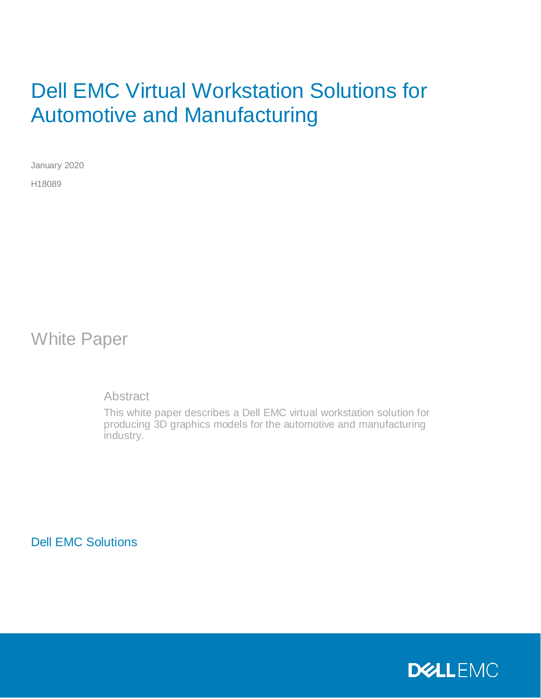# Dell EMC Virtual Workstation Solutions for Automotive and Manufacturing

January 2020 H18089

White Paper

**Abstract** 

This white paper describes a Dell EMC virtual workstation solution for producing 3D graphics models for the automotive and manufacturing industry.

Dell EMC Solutions

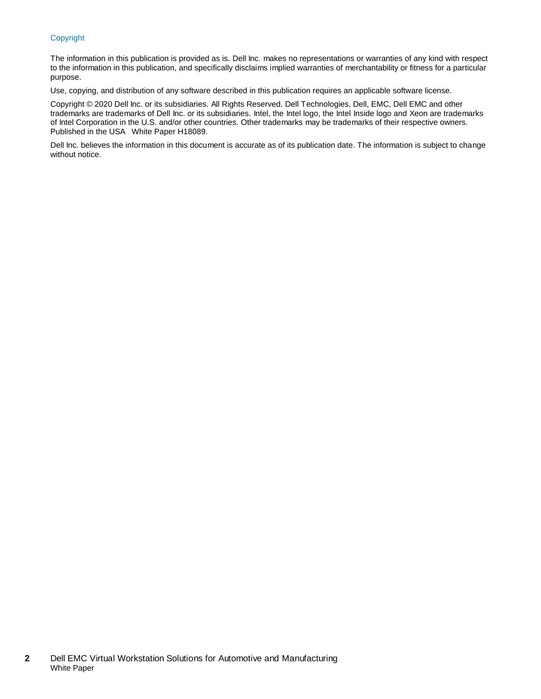#### Copyright

The information in this publication is provided as is. Dell Inc. makes no representations or warranties of any kind with respect to the information in this publication, and specifically disclaims implied warranties of merchantability or fitness for a particular purpose.

Use, copying, and distribution of any software described in this publication requires an applicable software license.

Copyright © 2020 Dell Inc. or its subsidiaries. All Rights Reserved. Dell Technologies, Dell, EMC, Dell EMC and other trademarks are trademarks of Dell Inc. or its subsidiaries. Intel, the Intel logo, the Intel Inside logo and Xeon are trademarks of Intel Corporation in the U.S. and/or other countries. Other trademarks may be trademarks of their respective owners. Published in the USA White Paper H18089.

Dell Inc. believes the information in this document is accurate as of its publication date. The information is subject to change without notice.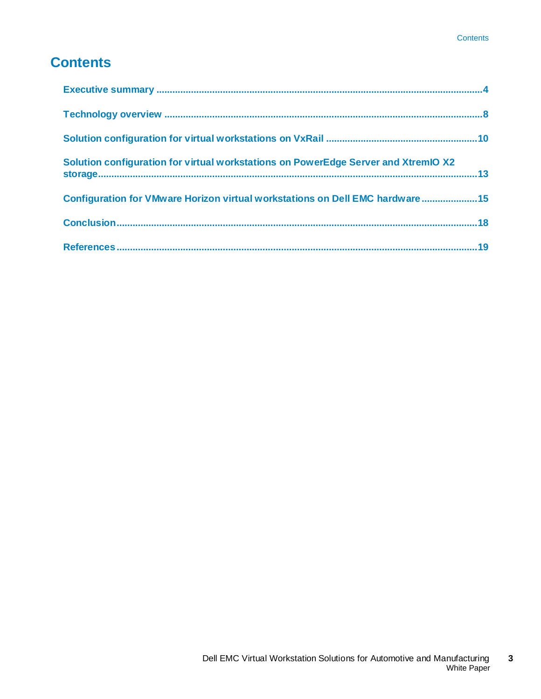## **Contents**

| Solution configuration for virtual workstations on PowerEdge Server and XtremIO X2 |  |
|------------------------------------------------------------------------------------|--|
| Configuration for VMware Horizon virtual workstations on Dell EMC hardware15       |  |
|                                                                                    |  |
|                                                                                    |  |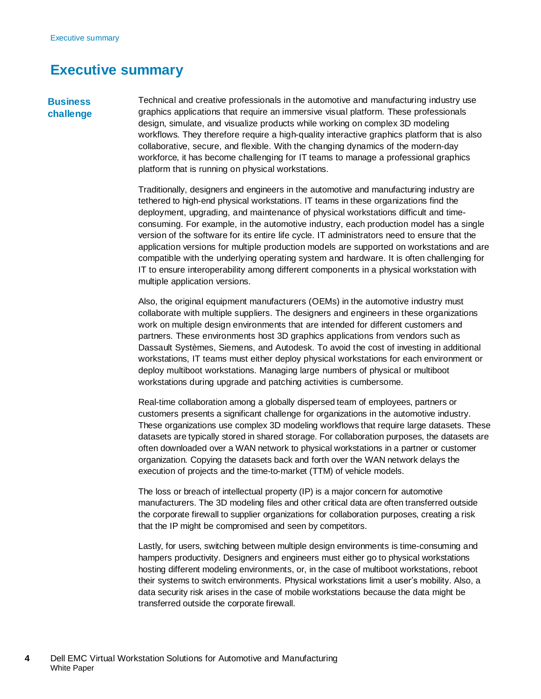### <span id="page-3-0"></span>**Executive summary**

#### **Business challenge**

Technical and creative professionals in the automotive and manufacturing industry use graphics applications that require an immersive visual platform. These professionals design, simulate, and visualize products while working on complex 3D modeling workflows. They therefore require a high-quality interactive graphics platform that is also collaborative, secure, and flexible. With the changing dynamics of the modern-day workforce, it has become challenging for IT teams to manage a professional graphics platform that is running on physical workstations.

Traditionally, designers and engineers in the automotive and manufacturing industry are tethered to high-end physical workstations. IT teams in these organizations find the deployment, upgrading, and maintenance of physical workstations difficult and timeconsuming. For example, in the automotive industry, each production model has a single version of the software for its entire life cycle. IT administrators need to ensure that the application versions for multiple production models are supported on workstations and are compatible with the underlying operating system and hardware. It is often challenging for IT to ensure interoperability among different components in a physical workstation with multiple application versions.

Also, the original equipment manufacturers (OEMs) in the automotive industry must collaborate with multiple suppliers. The designers and engineers in these organizations work on multiple design environments that are intended for different customers and partners. These environments host 3D graphics applications from vendors such as Dassault Systèmes, Siemens, and Autodesk. To avoid the cost of investing in additional workstations, IT teams must either deploy physical workstations for each environment or deploy multiboot workstations. Managing large numbers of physical or multiboot workstations during upgrade and patching activities is cumbersome.

Real-time collaboration among a globally dispersed team of employees, partners or customers presents a significant challenge for organizations in the automotive industry. These organizations use complex 3D modeling workflows that require large datasets. These datasets are typically stored in shared storage. For collaboration purposes, the datasets are often downloaded over a WAN network to physical workstations in a partner or customer organization. Copying the datasets back and forth over the WAN network delays the execution of projects and the time-to-market (TTM) of vehicle models.

The loss or breach of intellectual property (IP) is a major concern for automotive manufacturers. The 3D modeling files and other critical data are often transferred outside the corporate firewall to supplier organizations for collaboration purposes, creating a risk that the IP might be compromised and seen by competitors.

Lastly, for users, switching between multiple design environments is time-consuming and hampers productivity. Designers and engineers must either go to physical workstations hosting different modeling environments, or, in the case of multiboot workstations, reboot their systems to switch environments. Physical workstations limit a user's mobility. Also, a data security risk arises in the case of mobile workstations because the data might be transferred outside the corporate firewall.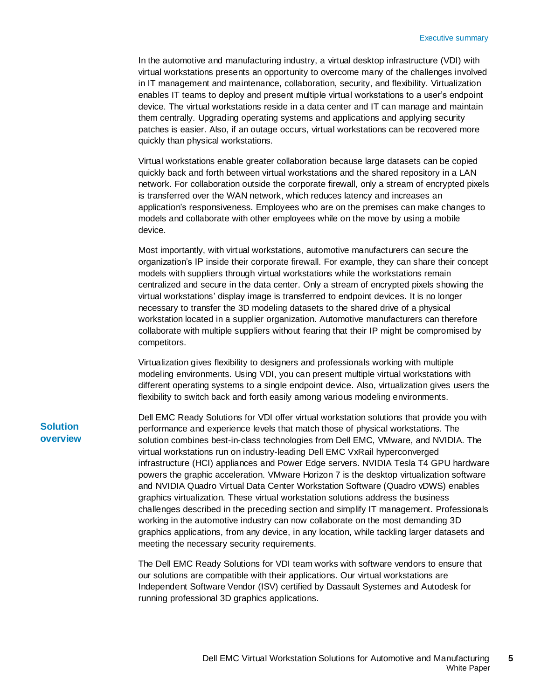In the automotive and manufacturing industry, a virtual desktop infrastructure (VDI) with virtual workstations presents an opportunity to overcome many of the challenges involved in IT management and maintenance, collaboration, security, and flexibility. Virtualization enables IT teams to deploy and present multiple virtual workstations to a user's endpoint device. The virtual workstations reside in a data center and IT can manage and maintain them centrally. Upgrading operating systems and applications and applying security patches is easier. Also, if an outage occurs, virtual workstations can be recovered more quickly than physical workstations.

Virtual workstations enable greater collaboration because large datasets can be copied quickly back and forth between virtual workstations and the shared repository in a LAN network. For collaboration outside the corporate firewall, only a stream of encrypted pixels is transferred over the WAN network, which reduces latency and increases an application's responsiveness. Employees who are on the premises can make changes to models and collaborate with other employees while on the move by using a mobile device.

Most importantly, with virtual workstations, automotive manufacturers can secure the organization's IP inside their corporate firewall. For example, they can share their concept models with suppliers through virtual workstations while the workstations remain centralized and secure in the data center. Only a stream of encrypted pixels showing the virtual workstations' display image is transferred to endpoint devices. It is no longer necessary to transfer the 3D modeling datasets to the shared drive of a physical workstation located in a supplier organization. Automotive manufacturers can therefore collaborate with multiple suppliers without fearing that their IP might be compromised by competitors.

Virtualization gives flexibility to designers and professionals working with multiple modeling environments. Using VDI, you can present multiple virtual workstations with different operating systems to a single endpoint device. Also, virtualization gives users the flexibility to switch back and forth easily among various modeling environments.

**Solution overview** Dell EMC Ready Solutions for VDI offer virtual workstation solutions that provide you with performance and experience levels that match those of physical workstations. The solution combines best-in-class technologies from Dell EMC, VMware, and NVIDIA. The virtual workstations run on industry-leading Dell EMC VxRail hyperconverged infrastructure (HCI) appliances and Power Edge servers. NVIDIA Tesla T4 GPU hardware powers the graphic acceleration. VMware Horizon 7 is the desktop virtualization software and NVIDIA Quadro Virtual Data Center Workstation Software (Quadro vDWS) enables graphics virtualization. These virtual workstation solutions address the business challenges described in the preceding section and simplify IT management. Professionals working in the automotive industry can now collaborate on the most demanding 3D graphics applications, from any device, in any location, while tackling larger datasets and meeting the necessary security requirements.

The Dell EMC Ready Solutions for VDI team works with software vendors to ensure that our solutions are compatible with their applications. Our virtual workstations are Independent Software Vendor (ISV) certified by Dassault Systemes and Autodesk for running professional 3D graphics applications.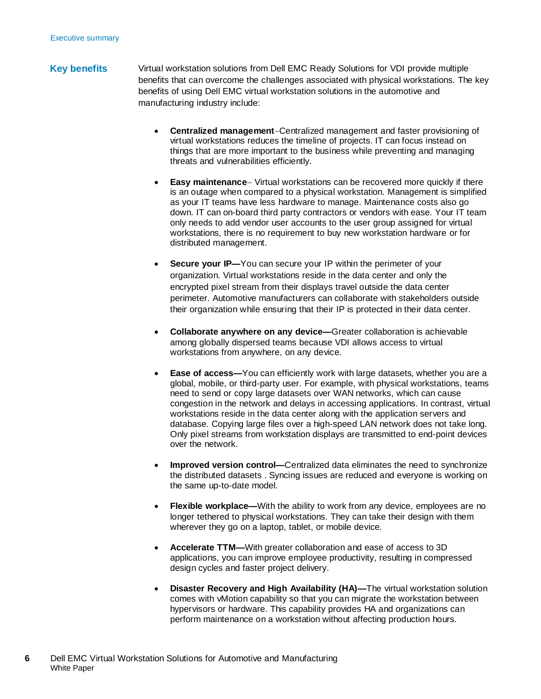#### Virtual workstation solutions from Dell EMC Ready Solutions for VDI provide multiple benefits that can overcome the challenges associated with physical workstations. The key benefits of using Dell EMC virtual workstation solutions in the automotive and manufacturing industry include: **Key benefits**

- **Centralized management**−Centralized management and faster provisioning of virtual workstations reduces the timeline of projects. IT can focus instead on things that are more important to the business while preventing and managing threats and vulnerabilities efficiently.
- **Easy maintenance**− Virtual workstations can be recovered more quickly if there is an outage when compared to a physical workstation. Management is simplified as your IT teams have less hardware to manage. Maintenance costs also go down. IT can on-board third party contractors or vendors with ease. Your IT team only needs to add vendor user accounts to the user group assigned for virtual workstations, there is no requirement to buy new workstation hardware or for distributed management.
- **Secure your IP—You can secure your IP within the perimeter of your** organization. Virtual workstations reside in the data center and only the encrypted pixel stream from their displays travel outside the data center perimeter. Automotive manufacturers can collaborate with stakeholders outside their organization while ensuring that their IP is protected in their data center.
- **Collaborate anywhere on any device—**Greater collaboration is achievable among globally dispersed teams because VDI allows access to virtual workstations from anywhere, on any device.
- **Ease of access—**You can efficiently work with large datasets, whether you are a global, mobile, or third-party user. For example, with physical workstations, teams need to send or copy large datasets over WAN networks, which can cause congestion in the network and delays in accessing applications. In contrast, virtual workstations reside in the data center along with the application servers and database. Copying large files over a high-speed LAN network does not take long. Only pixel streams from workstation displays are transmitted to end-point devices over the network.
- **Improved version control—**Centralized data eliminates the need to synchronize the distributed datasets . Syncing issues are reduced and everyone is working on the same up-to-date model.
- **Flexible workplace—**With the ability to work from any device, employees are no longer tethered to physical workstations. They can take their design with them wherever they go on a laptop, tablet, or mobile device.
- **Accelerate TTM—**With greater collaboration and ease of access to 3D applications, you can improve employee productivity, resulting in compressed design cycles and faster project delivery.
- **Disaster Recovery and High Availability (HA)—The virtual workstation solution** comes with vMotion capability so that you can migrate the workstation between hypervisors or hardware. This capability provides HA and organizations can perform maintenance on a workstation without affecting production hours.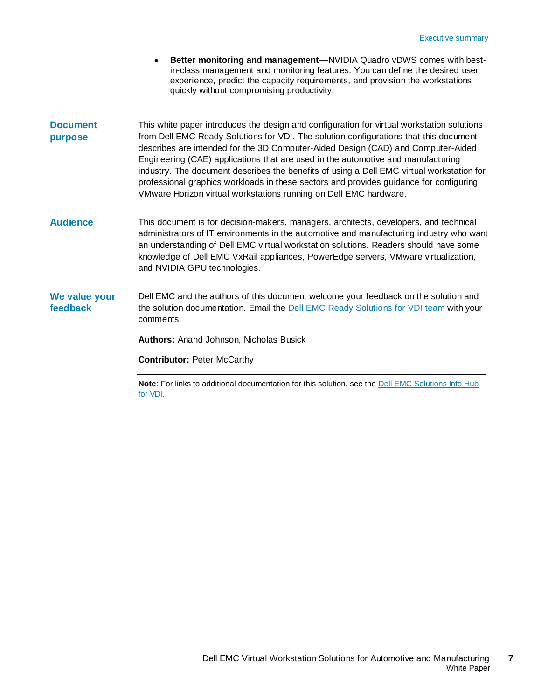- **Better monitoring and management—**NVIDIA Quadro vDWS comes with bestin-class management and monitoring features. You can define the desired user experience, predict the capacity requirements, and provision the workstations quickly without compromising productivity.
- This white paper introduces the design and configuration for virtual workstation solutions from Dell EMC Ready Solutions for VDI. The solution configurations that this document describes are intended for the 3D Computer-Aided Design (CAD) and Computer-Aided Engineering (CAE) applications that are used in the automotive and manufacturing industry. The document describes the benefits of using a Dell EMC virtual workstation for professional graphics workloads in these sectors and provides guidance for configuring VMware Horizon virtual workstations running on Dell EMC hardware. **Document purpose**
- This document is for decision-makers, managers, architects, developers, and technical administrators of IT environments in the automotive and manufacturing industry who want an understanding of Dell EMC virtual workstation solutions. Readers should have some knowledge of Dell EMC VxRail appliances, PowerEdge servers, VMware virtualization, and NVIDIA GPU technologies. **Audience**
- Dell EMC and the authors of this document welcome your feedback on the solution and the solution documentation. Email the [Dell EMC Ready Solutions for VDI team](mailto:EMC.Solution.Feedback@emc.com?subject=Feedback:%20Dell%20EMC%20Virtual%20Workstation%20Solutions%20for%20Automotive%20and%20Manufacturing%20White%20Paper%20(H18089)) with your comments. **We value your feedback**

**Authors:** Anand Johnson, Nicholas Busick

**Contributor:** Peter McCarthy

**Note**: For links to additional documentation for this solution, see the **Dell EMC Solutions** Info Hub [for VDI.](https://infohub.delltechnologies.com/t/solutions/vdi/)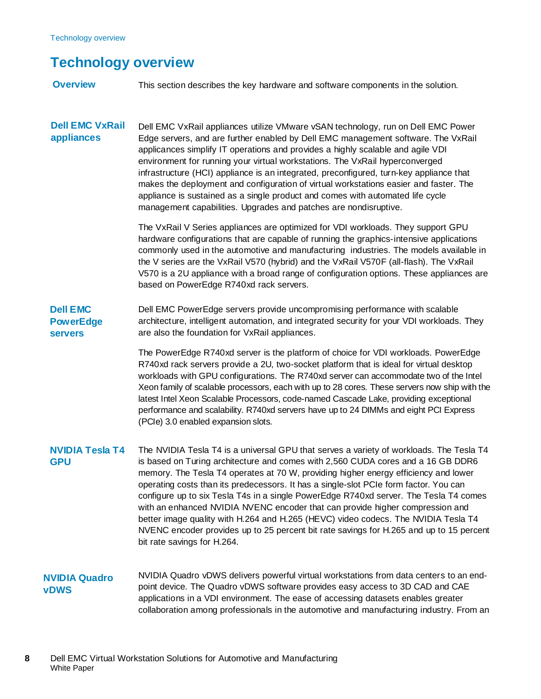## <span id="page-7-0"></span>**Technology overview**

This section describes the key hardware and software components in the solution. **Overview**

Dell EMC VxRail appliances utilize VMware vSAN technology, run on Dell EMC Power Edge servers, and are further enabled by Dell EMC management software. The VxRail applicances simplify IT operations and provides a highly scalable and agile VDI environment for running your virtual workstations. The VxRail hyperconverged infrastructure (HCI) appliance is an integrated, preconfigured, turn-key appliance that makes the deployment and configuration of virtual workstations easier and faster. The appliance is sustained as a single product and comes with automated life cycle management capabilities. Upgrades and patches are nondisruptive. **Dell EMC VxRail appliances**

> The VxRail V Series appliances are optimized for VDI workloads. They support GPU hardware configurations that are capable of running the graphics-intensive applications commonly used in the automotive and manufacturing industries. The models available in the V series are the VxRail V570 (hybrid) and the VxRail V570F (all-flash). The VxRail V570 is a 2U appliance with a broad range of configuration options. These appliances are based on PowerEdge R740xd rack servers.

Dell EMC PowerEdge servers provide uncompromising performance with scalable architecture, intelligent automation, and integrated security for your VDI workloads. They are also the foundation for VxRail appliances. **Dell EMC PowerEdge servers**

> The PowerEdge R740xd server is the platform of choice for VDI workloads. PowerEdge R740xd rack servers provide a 2U, two-socket platform that is ideal for virtual desktop workloads with GPU configurations. The R740xd server can accommodate two of the Intel Xeon family of scalable processors, each with up to 28 cores. These servers now ship with the latest Intel Xeon Scalable Processors, code-named Cascade Lake, providing exceptional performance and scalability. R740xd servers have up to 24 DIMMs and eight PCI Express (PCIe) 3.0 enabled expansion slots.

- The NVIDIA Tesla T4 is a universal GPU that serves a variety of workloads. The Tesla T4 is based on Turing architecture and comes with 2,560 CUDA cores and a 16 GB DDR6 memory. The Tesla T4 operates at 70 W, providing higher energy efficiency and lower operating costs than its predecessors. It has a single-slot PCIe form factor. You can configure up to six Tesla T4s in a single PowerEdge R740xd server. The Tesla T4 comes with an enhanced NVIDIA NVENC encoder that can provide higher compression and better image quality with H.264 and H.265 (HEVC) video codecs. The NVIDIA Tesla T4 NVENC encoder provides up to 25 percent bit rate savings for H.265 and up to 15 percent bit rate savings for H.264. **NVIDIA Tesla T4 GPU**
- NVIDIA Quadro vDWS delivers powerful virtual workstations from data centers to an endpoint device. The Quadro vDWS software provides easy access to 3D CAD and CAE applications in a VDI environment. The ease of accessing datasets enables greater collaboration among professionals in the automotive and manufacturing industry. From an **NVIDIA Quadro vDWS**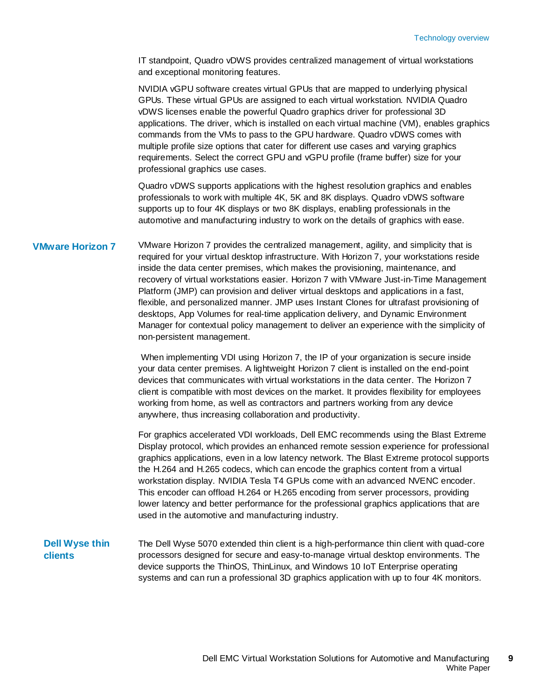IT standpoint, Quadro vDWS provides centralized management of virtual workstations and exceptional monitoring features.

NVIDIA vGPU software creates virtual GPUs that are mapped to underlying physical GPUs. These virtual GPUs are assigned to each virtual workstation. NVIDIA Quadro vDWS licenses enable the powerful Quadro graphics driver for professional 3D applications. The driver, which is installed on each virtual machine (VM), enables graphics commands from the VMs to pass to the GPU hardware. Quadro vDWS comes with multiple profile size options that cater for different use cases and varying graphics requirements. Select the correct GPU and vGPU profile (frame buffer) size for your professional graphics use cases.

Quadro vDWS supports applications with the highest resolution graphics and enables professionals to work with multiple 4K, 5K and 8K displays. Quadro vDWS software supports up to four 4K displays or two 8K displays, enabling professionals in the automotive and manufacturing industry to work on the details of graphics with ease.

#### **VMware Horizon 7**

VMware Horizon 7 provides the centralized management, agility, and simplicity that is required for your virtual desktop infrastructure. With Horizon 7, your workstations reside inside the data center premises, which makes the provisioning, maintenance, and recovery of virtual workstations easier. Horizon 7 with VMware Just-in-Time Management Platform (JMP) can provision and deliver virtual desktops and applications in a fast, flexible, and personalized manner. JMP uses Instant Clones for ultrafast provisioning of desktops, App Volumes for real-time application delivery, and Dynamic Environment Manager for contextual policy management to deliver an experience with the simplicity of non-persistent management.

When implementing VDI using Horizon 7, the IP of your organization is secure inside your data center premises. A lightweight Horizon 7 client is installed on the end-point devices that communicates with virtual workstations in the data center. The Horizon 7 client is compatible with most devices on the market. It provides flexibility for employees working from home, as well as contractors and partners working from any device anywhere, thus increasing collaboration and productivity.

For graphics accelerated VDI workloads, Dell EMC recommends using the Blast Extreme Display protocol, which provides an enhanced remote session experience for professional graphics applications, even in a low latency network. The Blast Extreme protocol supports the H.264 and H.265 codecs, which can encode the graphics content from a virtual workstation display. NVIDIA Tesla T4 GPUs come with an advanced NVENC encoder. This encoder can offload H.264 or H.265 encoding from server processors, providing lower latency and better performance for the professional graphics applications that are used in the automotive and manufacturing industry.

### **Dell Wyse thin clients**

The Dell Wyse 5070 extended thin client is a high-performance thin client with quad-core processors designed for secure and easy-to-manage virtual desktop environments. The device supports the ThinOS, ThinLinux, and Windows 10 IoT Enterprise operating systems and can run a professional 3D graphics application with up to four 4K monitors.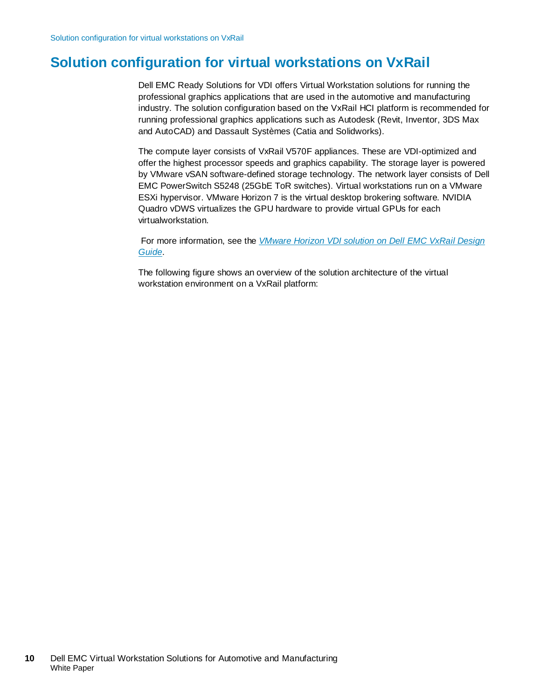## <span id="page-9-0"></span>**Solution configuration for virtual workstations on VxRail**

Dell EMC Ready Solutions for VDI offers Virtual Workstation solutions for running the professional graphics applications that are used in the automotive and manufacturing industry. The solution configuration based on the VxRail HCI platform is recommended for running professional graphics applications such as Autodesk (Revit, Inventor, 3DS Max and AutoCAD) and Dassault Systèmes (Catia and Solidworks).

The compute layer consists of VxRail V570F appliances. These are VDI-optimized and offer the highest processor speeds and graphics capability. The storage layer is powered by VMware vSAN software-defined storage technology. The network layer consists of Dell EMC PowerSwitch S5248 (25GbE ToR switches). Virtual workstations run on a VMware ESXi hypervisor. VMware Horizon 7 is the virtual desktop brokering software. NVIDIA Quadro vDWS virtualizes the GPU hardware to provide virtual GPUs for each virtualworkstation.

For more information, see the *[VMware Horizon VDI solution on Dell EMC VxRail Design](https://infohub.delltechnologies.com/t/solutions/vdi-design-guide-vmware-horizon-on-vxrail-and-vsan-ready-nodes-1/)  [Guide](https://infohub.delltechnologies.com/t/solutions/vdi-design-guide-vmware-horizon-on-vxrail-and-vsan-ready-nodes-1/)*.

The following figure shows an overview of the solution architecture of the virtual workstation environment on a VxRail platform: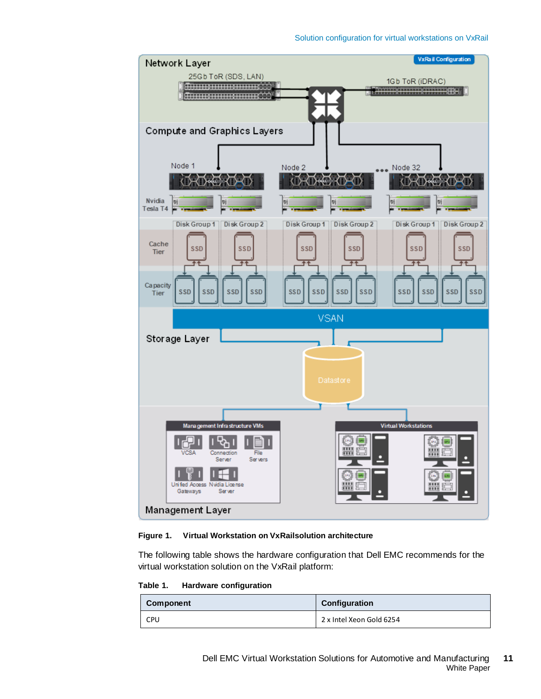



The following table shows the hardware configuration that Dell EMC recommends for the virtual workstation solution on the VxRail platform:

<span id="page-10-0"></span>**Table 1. Hardware configuration**

| Component  | Configuration            |
|------------|--------------------------|
| <b>CPU</b> | 2 x Intel Xeon Gold 6254 |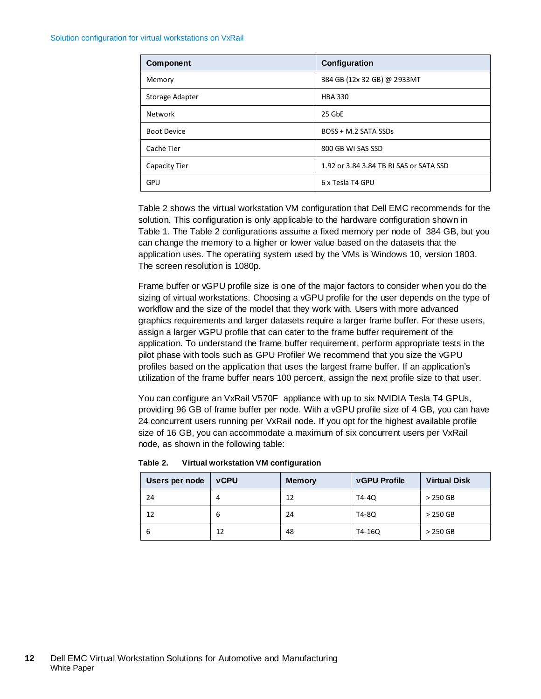| <b>Component</b>   | Configuration                           |
|--------------------|-----------------------------------------|
| Memory             | 384 GB (12x 32 GB) @ 2933MT             |
| Storage Adapter    | <b>HBA 330</b>                          |
| <b>Network</b>     | 25 GbE                                  |
| <b>Boot Device</b> | BOSS + M.2 SATA SSDs                    |
| Cache Tier         | 800 GB WI SAS SSD                       |
| Capacity Tier      | 1.92 or 3.84 3.84 TB RI SAS or SATA SSD |
| <b>GPU</b>         | 6 x Tesla T4 GPU                        |

[Table 2](#page-11-0) shows the virtual workstation VM configuration that Dell EMC recommends for the solution. This configuration is only applicable to the hardware configuration shown in [Table 1.](#page-10-0) The [Table 2](#page-11-0) configurations assume a fixed memory per node of 384 GB, but you can change the memory to a higher or lower value based on the datasets that the application uses. The operating system used by the VMs is Windows 10, version 1803. The screen resolution is 1080p.

Frame buffer or vGPU profile size is one of the major factors to consider when you do the sizing of virtual workstations. Choosing a vGPU profile for the user depends on the type of workflow and the size of the model that they work with. Users with more advanced graphics requirements and larger datasets require a larger frame buffer. For these users, assign a larger vGPU profile that can cater to the frame buffer requirement of the application. To understand the frame buffer requirement, perform appropriate tests in the pilot phase with tools such as GPU Profiler We recommend that you size the vGPU profiles based on the application that uses the largest frame buffer. If an application's utilization of the frame buffer nears 100 percent, assign the next profile size to that user.

You can configure an VxRail V570F appliance with up to six NVIDIA Tesla T4 GPUs, providing 96 GB of frame buffer per node. With a vGPU profile size of 4 GB, you can have 24 concurrent users running per VxRail node. If you opt for the highest available profile size of 16 GB, you can accommodate a maximum of six concurrent users per VxRail node, as shown in the following table:

| Users per node | <b>vCPU</b> | <b>Memory</b> | <b>vGPU Profile</b> | <b>Virtual Disk</b> |
|----------------|-------------|---------------|---------------------|---------------------|
| 24             | 4           | 12            | T4-40               | $>250$ GB           |
| 12             | 6           | 24            | T4-80               | $>250$ GB           |
| 6              | 12          | 48            | T4-16Q              | $>250$ GB           |

<span id="page-11-0"></span>**Table 2. Virtual workstation VM configuration**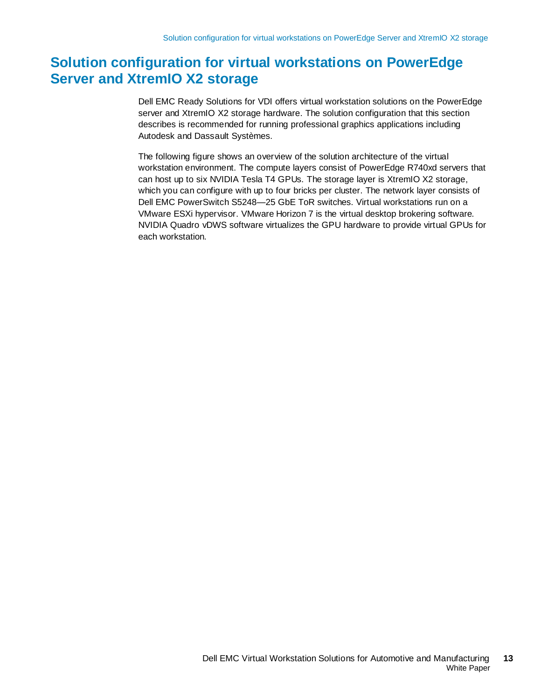## <span id="page-12-0"></span>**Solution configuration for virtual workstations on PowerEdge Server and XtremIO X2 storage**

Dell EMC Ready Solutions for VDI offers virtual workstation solutions on the PowerEdge server and XtremIO X2 storage hardware. The solution configuration that this section describes is recommended for running professional graphics applications including Autodesk and Dassault Systèmes.

The following figure shows an overview of the solution architecture of the virtual workstation environment. The compute layers consist of PowerEdge R740xd servers that can host up to six NVIDIA Tesla T4 GPUs. The storage layer is XtremIO X2 storage, which you can configure with up to four bricks per cluster. The network layer consists of Dell EMC PowerSwitch S5248—25 GbE ToR switches. Virtual workstations run on a VMware ESXi hypervisor. VMware Horizon 7 is the virtual desktop brokering software. NVIDIA Quadro vDWS software virtualizes the GPU hardware to provide virtual GPUs for each workstation.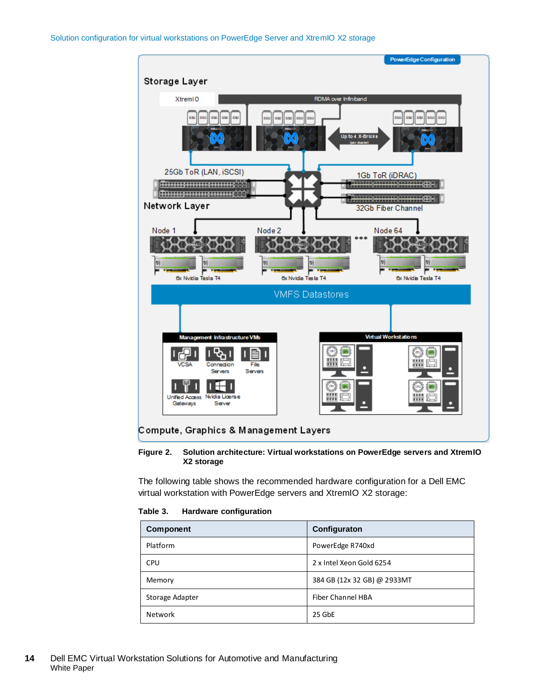

#### **Figure 2. Solution architecture: Virtual workstations on PowerEdge servers and XtremIO X2 storage**

The following table shows the recommended hardware configuration for a Dell EMC virtual workstation with PowerEdge servers and XtremIO X2 storage:

<span id="page-13-0"></span>

| Hardware configuration<br>Table 3. |  |
|------------------------------------|--|
|------------------------------------|--|

| <b>Component</b> | Configuraton                |
|------------------|-----------------------------|
| Platform         | PowerEdge R740xd            |
| <b>CPU</b>       | 2 x Intel Xeon Gold 6254    |
| Memory           | 384 GB (12x 32 GB) @ 2933MT |
| Storage Adapter  | Fiber Channel HBA           |
| <b>Network</b>   | 25 GbE                      |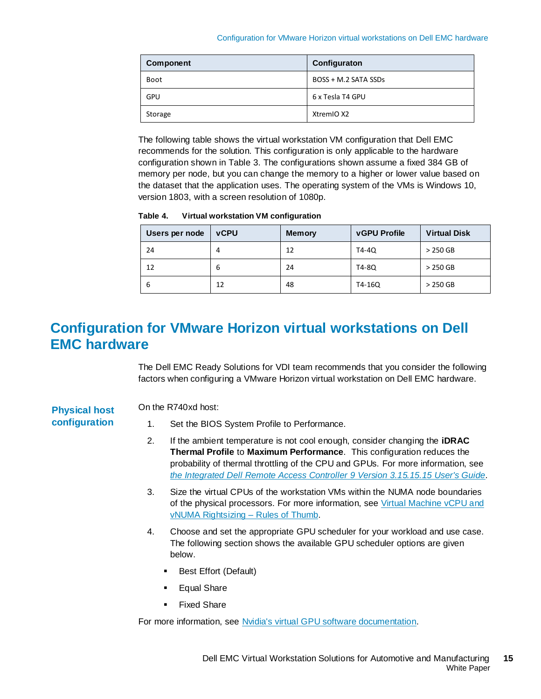| Component   | Configuraton         |
|-------------|----------------------|
| <b>Boot</b> | BOSS + M.2 SATA SSDs |
| <b>GPU</b>  | 6 x Tesla T4 GPU     |
| Storage     | XtremIO X2           |

The following table shows the virtual workstation VM configuration that Dell EMC recommends for the solution. This configuration is only applicable to the hardware configuration shown i[n Table 3.](#page-13-0) The configurations shown assume a fixed 384 GB of memory per node, but you can change the memory to a higher or lower value based on the dataset that the application uses. The operating system of the VMs is Windows 10, version 1803, with a screen resolution of 1080p.

**Table 4. Virtual workstation VM configuration**

| Users per node | <b>vCPU</b> | <b>Memory</b> | <b>vGPU Profile</b> | <b>Virtual Disk</b> |
|----------------|-------------|---------------|---------------------|---------------------|
| 24             | 4           | 12            | T4-40               | $>250$ GB           |
| 12             | 6           | 24            | T4-80               | $>250$ GB           |
| b              | 12          | 48            | T4-16Q              | $>250$ GB           |

## <span id="page-14-0"></span>**Configuration for VMware Horizon virtual workstations on Dell EMC hardware**

The Dell EMC Ready Solutions for VDI team recommends that you consider the following factors when configuring a VMware Horizon virtual workstation on Dell EMC hardware.

#### On the R740xd host: **Physical host**

**configuration** 

1. Set the BIOS System Profile to Performance.

- 2. If the ambient temperature is not cool enough, consider changing the **iDRAC Thermal Profile** to **Maximum Performance**. This configuration reduces the probability of thermal throttling of the CPU and GPUs. For more information, see *[the Integrated Dell Remote Access Controller 9 Version 3.15.15.15 User's Guide](https://www.dell.com/support/manuals/us/en/04/idrac9-lifecycle-controller-v3.1-series/idrac_3.15.15.15_ug/modifying-thermal-settings-using-idrac-web-interface?guid=guid-72820d08-64a9-478a-b19b-e53f6c9a5b60&lang=en-us)*.
- 3. Size the virtual CPUs of the workstation VMs within the NUMA node boundaries of the physical processors. For more information, se[e Virtual Machine vCPU and](https://blogs.vmware.com/performance/2017/03/virtual-machine-vcpu-and-vnuma-rightsizing-rules-of-thumb.html)  [vNUMA Rightsizing –](https://blogs.vmware.com/performance/2017/03/virtual-machine-vcpu-and-vnuma-rightsizing-rules-of-thumb.html) Rules of Thumb.
- 4. Choose and set the appropriate GPU scheduler for your workload and use case. The following section shows the available GPU scheduler options are given below.
	- Best Effort (Default)
	- Equal Share
	- **Fixed Share**

For more information, see [Nvidia's virtual GPU software documentation.](https://docs.nvidia.com/grid/9.0/grid-vgpu-user-guide/index.html#changing-vgpu-scheduling-policy)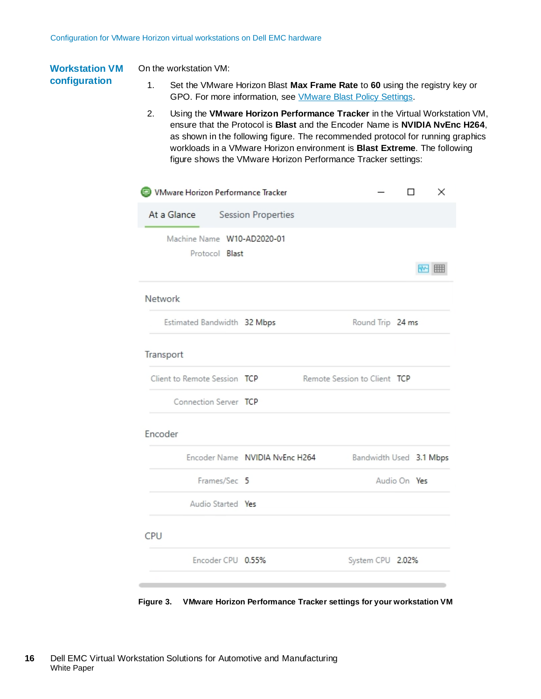#### On the workstation VM: **Workstation VM**

### **configuration**

- 1. Set the VMware Horizon Blast **Max Frame Rate** to **60** using the registry key or GPO. For more information, see [VMware Blast Policy Settings.](https://docs.vmware.com/en/VMware-Horizon-7/7.9/horizon-remote-desktop-features/GUID-220442CF-EA01-470E-A381-1BED9BC0B81C.html)
- 2. Using the **VMware Horizon Performance Tracker** in the Virtual Workstation VM, ensure that the Protocol is **Blast** and the Encoder Name is **NVIDIA NvEnc H264**, as shown in the following figure. The recommended protocol for running graphics workloads in a VMware Horizon environment is **Blast Extreme**. The following figure shows the VMware Horizon Performance Tracker settings:

| VMware Horizon Performance Tracker           |                                |                              | п<br>×       |                         |
|----------------------------------------------|--------------------------------|------------------------------|--------------|-------------------------|
| At a Glance Session Properties               |                                |                              |              |                         |
| Machine Name W10-AD2020-01<br>Protocol Blast |                                |                              |              | ₩M<br>Ħ                 |
| Network                                      |                                |                              |              |                         |
| Estimated Bandwidth 32 Mbps                  |                                | Round Trip 24 ms             |              |                         |
| Transport                                    |                                |                              |              |                         |
| Client to Remote Session TCP                 |                                | Remote Session to Client TCP |              |                         |
| Connection Server TCP                        |                                |                              |              |                         |
| Encoder                                      |                                |                              |              |                         |
|                                              | Encoder Name NVIDIA NvEnc H264 |                              |              | Bandwidth Used 3.1 Mbps |
| Frames/Sec 5                                 |                                |                              | Audio On Yes |                         |
| Audio Started Yes                            |                                |                              |              |                         |
| CPU                                          |                                |                              |              |                         |
| Encoder CPU 0.55%                            |                                | System CPU 2.02%             |              |                         |
|                                              |                                |                              |              |                         |

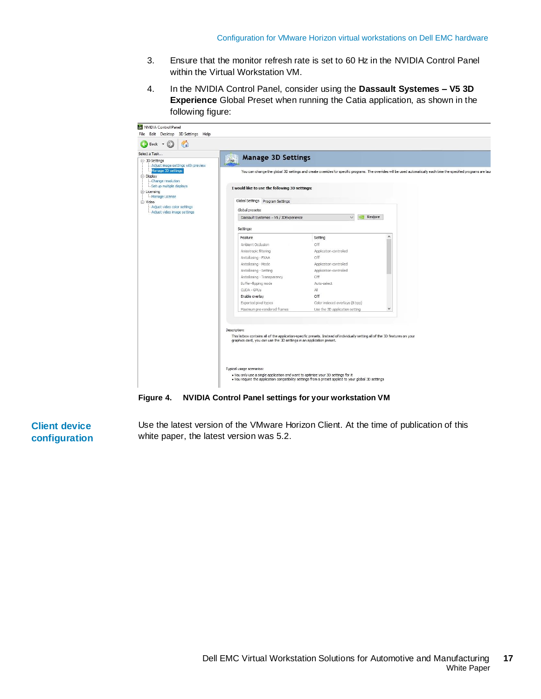- 3. Ensure that the monitor refresh rate is set to 60 Hz in the NVIDIA Control Panel within the Virtual Workstation VM.
- 4. In the NVIDIA Control Panel, consider using the **Dassault Systemes – V5 3D Experience** Global Preset when running the Catia application, as shown in the following figure:



**Figure 4. NVIDIA Control Panel settings for your workstation VM**

**Client device configuration** 

Use the latest version of the VMware Horizon Client. At the time of publication of this white paper, the latest version was 5.2.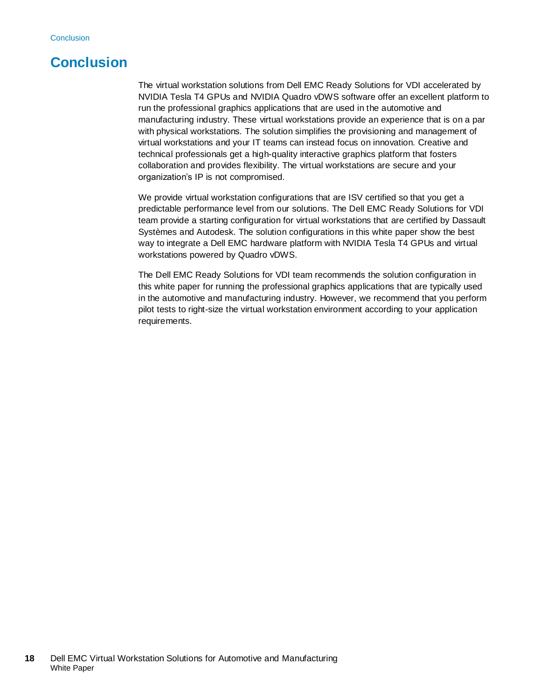## <span id="page-17-0"></span>**Conclusion**

The virtual workstation solutions from Dell EMC Ready Solutions for VDI accelerated by NVIDIA Tesla T4 GPUs and NVIDIA Quadro vDWS software offer an excellent platform to run the professional graphics applications that are used in the automotive and manufacturing industry. These virtual workstations provide an experience that is on a par with physical workstations. The solution simplifies the provisioning and management of virtual workstations and your IT teams can instead focus on innovation. Creative and technical professionals get a high-quality interactive graphics platform that fosters collaboration and provides flexibility. The virtual workstations are secure and your organization's IP is not compromised.

We provide virtual workstation configurations that are ISV certified so that you get a predictable performance level from our solutions. The Dell EMC Ready Solutions for VDI team provide a starting configuration for virtual workstations that are certified by Dassault Systèmes and Autodesk. The solution configurations in this white paper show the best way to integrate a Dell EMC hardware platform with NVIDIA Tesla T4 GPUs and virtual workstations powered by Quadro vDWS.

The Dell EMC Ready Solutions for VDI team recommends the solution configuration in this white paper for running the professional graphics applications that are typically used in the automotive and manufacturing industry. However, we recommend that you perform pilot tests to right-size the virtual workstation environment according to your application requirements.